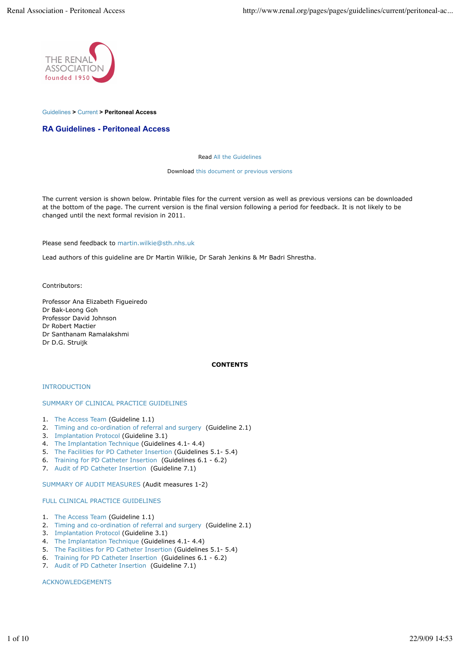

#### Guidelines **>** Current **> Peritoneal Access**

## **RA Guidelines - Peritoneal Access**

#### Read All the Guidelines

Download this document or previous versions

The current version is shown below. Printable files for the current version as well as previous versions can be downloaded at the bottom of the page. The current version is the final version following a period for feedback. It is not likely to be changed until the next formal revision in 2011.

Please send feedback to martin.wilkie@sth.nhs.uk

Lead authors of this guideline are Dr Martin Wilkie, Dr Sarah Jenkins & Mr Badri Shrestha.

Contributors:

Professor Ana Elizabeth Figueiredo Dr Bak-Leong Goh Professor David Johnson Dr Robert Mactier Dr Santhanam Ramalakshmi Dr D.G. Struijk

## **CONTENTS**

### INTRODUCTION

#### SUMMARY OF CLINICAL PRACTICE GUIDELINES

- 1. The Access Team (Guideline 1.1)
- 2. Timing and co-ordination of referral and surgery (Guideline 2.1)
- 3. Implantation Protocol (Guideline 3.1)
- 4. The Implantation Technique (Guidelines 4.1- 4.4)
- 5. The Facilities for PD Catheter Insertion (Guidelines 5.1- 5.4)
- 6. Training for PD Catheter Insertion (Guidelines 6.1 6.2)
- 7. Audit of PD Catheter Insertion (Guideline 7.1)

SUMMARY OF AUDIT MEASURES (Audit measures 1-2)

### FULL CLINICAL PRACTICE GUIDELINES

- 1. The Access Team (Guideline 1.1)
- 2. Timing and co-ordination of referral and surgery (Guideline 2.1)
- 3. Implantation Protocol (Guideline 3.1)
- 4. The Implantation Technique (Guidelines 4.1- 4.4)
- 5. The Facilities for PD Catheter Insertion (Guidelines 5.1- 5.4)
- 6. Training for PD Catheter Insertion (Guidelines 6.1 6.2)
- 7. Audit of PD Catheter Insertion (Guideline 7.1)

ACKNOWLEDGEMENTS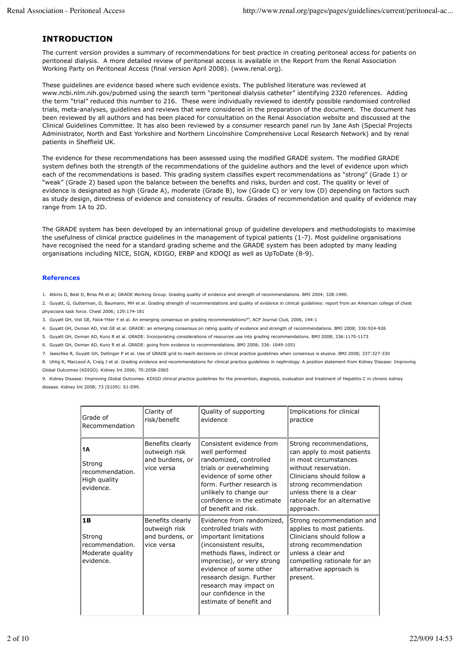## **INTRODUCTION**

The current version provides a summary of recommendations for best practice in creating peritoneal access for patients on peritoneal dialysis. A more detailed review of peritoneal access is available in the Report from the Renal Association Working Party on Peritoneal Access (final version April 2008). (www.renal.org).

These guidelines are evidence based where such evidence exists. The published literature was reviewed at www.ncbi.nlm.nih.gov/pubmed using the search term "peritoneal dialysis catheter" identifying 2320 references. Adding the term "trial" reduced this number to 216. These were individually reviewed to identify possible randomised controlled trials, meta-analyses, guidelines and reviews that were considered in the preparation of the document. The document has been reviewed by all authors and has been placed for consultation on the Renal Association website and discussed at the Clinical Guidelines Committee. It has also been reviewed by a consumer research panel run by Jane Ash (Special Projects Administrator, North and East Yorkshire and Northern Lincolnshire Comprehensive Local Research Network) and by renal patients in Sheffield UK.

The evidence for these recommendations has been assessed using the modified GRADE system. The modified GRADE system defines both the strength of the recommendations of the guideline authors and the level of evidence upon which each of the recommendations is based. This grading system classifies expert recommendations as "strong" (Grade 1) or "weak" (Grade 2) based upon the balance between the benefits and risks, burden and cost. The quality or level of evidence is designated as high (Grade A), moderate (Grade B), low (Grade C) or very low (D) depending on factors such as study design, directness of evidence and consistency of results. Grades of recommendation and quality of evidence may range from 1A to 2D.

The GRADE system has been developed by an international group of guideline developers and methodologists to maximise the usefulness of clinical practice guidelines in the management of typical patients (1-7). Most guideline organisations have recognised the need for a standard grading scheme and the GRADE system has been adopted by many leading organisations including NICE, SIGN, KDIGO, ERBP and KDOQI as well as UpToDate (8-9).

## **References**

1. Atkins D, Best D, Briss PA et al; GRADE Working Group. Grading quality of evidence and strength of recommendations. BMJ 2004; 328:1490.

2. Guyatt, G, Gutterman, D, Baumann, MH et al. Grading strength of recommendations and quality of evidence in clinical guidelines: report from an American college of chest physicians task force. Chest 2006; 129:174-181

3. Guyatt GH, Vist GE, Falck-Ytter Y et al. An emerging consensus on grading recommendations?", ACP Journal Club, 2006, 144:1

4. Guyatt GH, Oxman AD, Vist GE et al. GRADE: an emerging consensus on rating quality of evidence and strength of recommendations. BMJ 2008; 336:924-926

5. Guyatt GH, Oxman AD, Kunz R et al. GRADE: Incorporating considerations of resources use into grading recommendations. BMJ 2008; 336:1170-1173

6. Guyatt GH, Oxman AD, Kunz R et al. GRADE: going from evidence to recommendations. BMJ 2008; 336: 1049-1051

7. Jaeschke R, Guyatt GH, Dellinger P et al. Use of GRADE grid to reach decisions on clinical practice guidelines when consensus is elusive. BMJ 2008; 337:327-330

8. Uhlig K, MacLeod A, Craig J et al. Grading evidence and recommendations for clinical practice guidelines in nephrology. A position statement from Kidney Disease: Improving Global Outcomes (KDIGO). Kidney Int 2006; 70:2058-2065

9. Kidney Disease: Improving Global Outcomes. KDIGO clinical practice guidelines for the prevention, diagnosis, evaluation and treatment of Hepatitis C in chronic kidney disease. Kidney Int 2008; 73 (S109): S1-S99.

| Grade of<br>Recommendation                                       | Clarity of<br>risk/benefit                                         | Quality of supporting<br>evidence                                                                                                                                                                                                                                                                      | Implications for clinical<br>practice                                                                                                                                                                                                 |
|------------------------------------------------------------------|--------------------------------------------------------------------|--------------------------------------------------------------------------------------------------------------------------------------------------------------------------------------------------------------------------------------------------------------------------------------------------------|---------------------------------------------------------------------------------------------------------------------------------------------------------------------------------------------------------------------------------------|
| 1Α<br>Strong<br>recommendation.<br>High quality<br>evidence.     | Benefits clearly<br>outweigh risk<br>and burdens, or<br>vice versa | Consistent evidence from<br>well performed<br>randomized, controlled<br>trials or overwhelming<br>evidence of some other<br>form. Further research is<br>unlikely to change our<br>confidence in the estimate<br>of benefit and risk.                                                                  | Strong recommendations,<br>can apply to most patients<br>in most circumstances<br>without reservation.<br>Clinicians should follow a<br>strong recommendation<br>unless there is a clear<br>rationale for an alternative<br>approach. |
| 1B<br>Strong<br>recommendation.<br>Moderate quality<br>evidence. | Benefits clearly<br>outweigh risk<br>and burdens, or<br>vice versa | Evidence from randomized,<br>controlled trials with<br>important limitations<br>(inconsistent results,<br>methods flaws, indirect or<br>imprecise), or very strong<br>evidence of some other<br>research design. Further<br>research may impact on<br>our confidence in the<br>estimate of benefit and | Strong recommendation and<br>applies to most patients.<br>Clinicians should follow a<br>strong recommendation<br>unless a clear and<br>compelling rationale for an<br>alternative approach is<br>present.                             |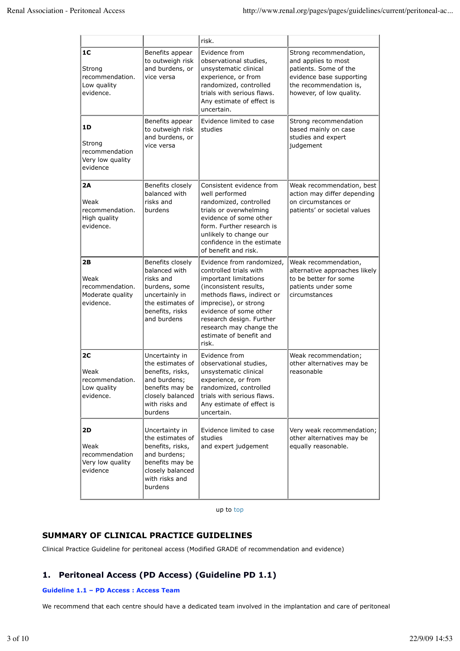|                                                                |                                                                                                                                            | risk.                                                                                                                                                                                                                                                                              |                                                                                                                                                          |
|----------------------------------------------------------------|--------------------------------------------------------------------------------------------------------------------------------------------|------------------------------------------------------------------------------------------------------------------------------------------------------------------------------------------------------------------------------------------------------------------------------------|----------------------------------------------------------------------------------------------------------------------------------------------------------|
| 1C<br>Strong<br>recommendation.<br>Low quality<br>evidence.    | Benefits appear<br>to outweigh risk<br>and burdens, or<br>vice versa                                                                       | Evidence from<br>observational studies,<br>unsystematic clinical<br>experience, or from<br>randomized, controlled<br>trials with serious flaws.<br>Any estimate of effect is<br>uncertain.                                                                                         | Strong recommendation,<br>and applies to most<br>patients. Some of the<br>evidence base supporting<br>the recommendation is,<br>however, of low quality. |
| 1D<br>Strong<br>recommendation<br>Very low quality<br>evidence | Benefits appear<br>to outweigh risk<br>and burdens, or<br>vice versa                                                                       | Evidence limited to case<br>studies                                                                                                                                                                                                                                                | Strong recommendation<br>based mainly on case<br>studies and expert<br>judgement                                                                         |
| 2A<br>Weak<br>recommendation.<br>High quality<br>evidence.     | Benefits closely<br>balanced with<br>risks and<br>burdens                                                                                  | Consistent evidence from<br>well performed<br>randomized, controlled<br>trials or overwhelming<br>evidence of some other<br>form. Further research is<br>unlikely to change our<br>confidence in the estimate<br>of benefit and risk.                                              | Weak recommendation, best<br>action may differ depending<br>on circumstances or<br>patients' or societal values                                          |
| 2B<br>Weak<br>recommendation.<br>Moderate quality<br>evidence. | Benefits closely<br>balanced with<br>risks and<br>burdens, some<br>uncertainly in<br>the estimates of<br>benefits, risks<br>and burdens    | Evidence from randomized,<br>controlled trials with<br>important limitations<br>(inconsistent results,<br>methods flaws, indirect or<br>imprecise), or strong<br>evidence of some other<br>research design. Further<br>research may change the<br>estimate of benefit and<br>risk. | Weak recommendation,<br>alternative approaches likely<br>to be better for some<br>patients under some<br>circumstances                                   |
| 2C<br>Weak<br>recommendation.<br>Low quality<br>evidence.      | Uncertainty in<br>the estimates of<br>benefits, risks,<br>and burdens;<br>benefits may be<br>closely balanced<br>with risks and<br>burdens | Evidence from<br>observational studies,<br>unsystematic clinical<br>experience, or from<br>randomized, controlled<br>trials with serious flaws.<br>Any estimate of effect is<br>uncertain.                                                                                         | Weak recommendation;<br>other alternatives may be<br>reasonable                                                                                          |
| 2D<br>Weak<br>recommendation<br>Very low quality<br>evidence   | Uncertainty in<br>the estimates of<br>benefits, risks,<br>and burdens;<br>benefits may be<br>closely balanced<br>with risks and<br>burdens | Evidence limited to case<br>studies<br>and expert judgement                                                                                                                                                                                                                        | Very weak recommendation;<br>other alternatives may be<br>equally reasonable.                                                                            |

up to top

# **SUMMARY OF CLINICAL PRACTICE GUIDELINES**

Clinical Practice Guideline for peritoneal access (Modified GRADE of recommendation and evidence)

# **1. Peritoneal Access (PD Access) (Guideline PD 1.1)**

## **Guideline 1.1 – PD Access : Access Team**

We recommend that each centre should have a dedicated team involved in the implantation and care of peritoneal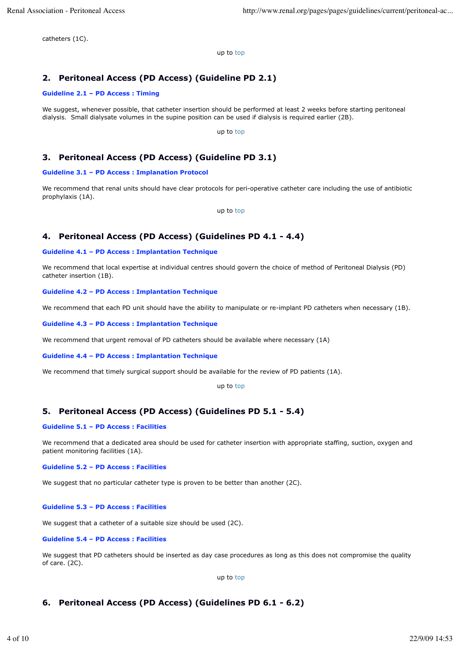catheters (1C).

up to top

# **2. Peritoneal Access (PD Access) (Guideline PD 2.1)**

## **Guideline 2.1 – PD Access : Timing**

We suggest, whenever possible, that catheter insertion should be performed at least 2 weeks before starting peritoneal dialysis. Small dialysate volumes in the supine position can be used if dialysis is required earlier (2B).

up to top

## **3. Peritoneal Access (PD Access) (Guideline PD 3.1)**

## **Guideline 3.1 – PD Access : Implanation Protocol**

We recommend that renal units should have clear protocols for peri-operative catheter care including the use of antibiotic prophylaxis (1A).

up to top

## **4. Peritoneal Access (PD Access) (Guidelines PD 4.1 - 4.4)**

## **Guideline 4.1 – PD Access : Implantation Technique**

We recommend that local expertise at individual centres should govern the choice of method of Peritoneal Dialysis (PD) catheter insertion (1B).

## **Guideline 4.2 – PD Access : Implantation Technique**

We recommend that each PD unit should have the ability to manipulate or re-implant PD catheters when necessary (1B).

### **Guideline 4.3 – PD Access : Implantation Technique**

We recommend that urgent removal of PD catheters should be available where necessary (1A)

#### **Guideline 4.4 – PD Access : Implantation Technique**

We recommend that timely surgical support should be available for the review of PD patients (1A).

up to top

## **5. Peritoneal Access (PD Access) (Guidelines PD 5.1 - 5.4)**

## **Guideline 5.1 – PD Access : Facilities**

We recommend that a dedicated area should be used for catheter insertion with appropriate staffing, suction, oxygen and patient monitoring facilities (1A).

## **Guideline 5.2 – PD Access : Facilities**

We suggest that no particular catheter type is proven to be better than another (2C).

## **Guideline 5.3 – PD Access : Facilities**

We suggest that a catheter of a suitable size should be used (2C).

## **Guideline 5.4 – PD Access : Facilities**

We suggest that PD catheters should be inserted as day case procedures as long as this does not compromise the quality of care. (2C).

up to top

## **6. Peritoneal Access (PD Access) (Guidelines PD 6.1 - 6.2)**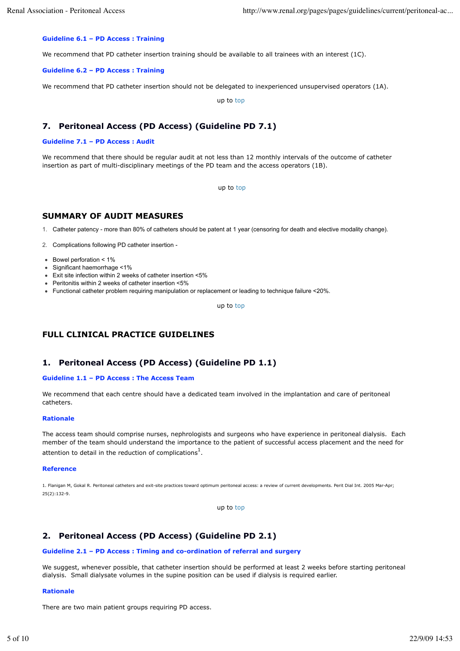## **Guideline 6.1 – PD Access : Training**

We recommend that PD catheter insertion training should be available to all trainees with an interest (1C).

#### **Guideline 6.2 – PD Access : Training**

We recommend that PD catheter insertion should not be delegated to inexperienced unsupervised operators (1A).

up to top

## **7. Peritoneal Access (PD Access) (Guideline PD 7.1)**

### **Guideline 7.1 – PD Access : Audit**

We recommend that there should be regular audit at not less than 12 monthly intervals of the outcome of catheter insertion as part of multi-disciplinary meetings of the PD team and the access operators (1B).

up to top

## **SUMMARY OF AUDIT MEASURES**

1. Catheter patency - more than 80% of catheters should be patent at 1 year (censoring for death and elective modality change).

2. Complications following PD catheter insertion -

- Bowel perforation < 1%
- Significant haemorrhage <1%
- Exit site infection within 2 weeks of catheter insertion <5%
- Peritonitis within 2 weeks of catheter insertion <5%
- Functional catheter problem requiring manipulation or replacement or leading to technique failure <20%.

up to top

## **FULL CLINICAL PRACTICE GUIDELINES**

## **1. Peritoneal Access (PD Access) (Guideline PD 1.1)**

### **Guideline 1.1 – PD Access : The Access Team**

We recommend that each centre should have a dedicated team involved in the implantation and care of peritoneal catheters.

### **Rationale**

The access team should comprise nurses, nephrologists and surgeons who have experience in peritoneal dialysis. Each member of the team should understand the importance to the patient of successful access placement and the need for attention to detail in the reduction of complications<sup>1</sup>.

### **Reference**

1. Flanigan M, Gokal R. Peritoneal catheters and exit-site practices toward optimum peritoneal access: a review of current developments. Perit Dial Int. 2005 Mar-Apr; 25(2):132-9.

up to top

## **2. Peritoneal Access (PD Access) (Guideline PD 2.1)**

#### **Guideline 2.1 – PD Access : Timing and co-ordination of referral and surgery**

We suggest, whenever possible, that catheter insertion should be performed at least 2 weeks before starting peritoneal dialysis. Small dialysate volumes in the supine position can be used if dialysis is required earlier.

#### **Rationale**

There are two main patient groups requiring PD access.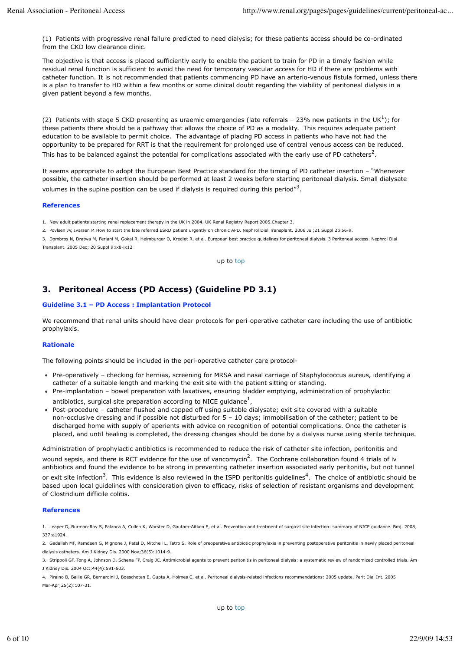(1) Patients with progressive renal failure predicted to need dialysis; for these patients access should be co-ordinated from the CKD low clearance clinic.

The objective is that access is placed sufficiently early to enable the patient to train for PD in a timely fashion while residual renal function is sufficient to avoid the need for temporary vascular access for HD if there are problems with catheter function. It is not recommended that patients commencing PD have an arterio-venous fistula formed, unless there is a plan to transfer to HD within a few months or some clinical doubt regarding the viability of peritoneal dialysis in a given patient beyond a few months.

(2) Patients with stage 5 CKD presenting as uraemic emergencies (late referrals - 23% new patients in the UK $^{1}$ ); for these patients there should be a pathway that allows the choice of PD as a modality. This requires adequate patient education to be available to permit choice. The advantage of placing PD access in patients who have not had the opportunity to be prepared for RRT is that the requirement for prolonged use of central venous access can be reduced. This has to be balanced against the potential for complications associated with the early use of PD catheters<sup>2</sup>.

It seems appropriate to adopt the European Best Practice standard for the timing of PD catheter insertion – "Whenever possible, the catheter insertion should be performed at least 2 weeks before starting peritoneal dialysis. Small dialysate volumes in the supine position can be used if dialysis is required during this period"<sup>3</sup>.

#### **References**

1. New adult patients starting renal replacement therapy in the UK in 2004. UK Renal Registry Report 2005.Chapter 3.

2. Povlsen JV, Ivarsen P. How to start the late referred ESRD patient urgently on chronic APD. Nephrol Dial Transplant. 2006 Jul;21 Suppl 2:ii56-9.

3. Dombros N, Dratwa M, Feriani M, Gokal R, Heimburger O, Krediet R, et al. European best practice guidelines for peritoneal dialysis. 3 Peritoneal access. Nephrol Dial Transplant. 2005 Dec; 20 Suppl 9:ix8-ix12

up to top

## **3. Peritoneal Access (PD Access) (Guideline PD 3.1)**

## **Guideline 3.1 – PD Access : Implantation Protocol**

We recommend that renal units should have clear protocols for peri-operative catheter care including the use of antibiotic prophylaxis.

## **Rationale**

The following points should be included in the peri-operative catheter care protocol-

- Pre-operatively checking for hernias, screening for MRSA and nasal carriage of Staphylococcus aureus, identifying a catheter of a suitable length and marking the exit site with the patient sitting or standing.
- Pre-implantation bowel preparation with laxatives, ensuring bladder emptying, administration of prophylactic antibiotics, surgical site preparation according to NICE guidance $^1$ ,
- Post-procedure catheter flushed and capped off using suitable dialysate; exit site covered with a suitable non-occlusive dressing and if possible not disturbed for 5 – 10 days; immobilisation of the catheter; patient to be discharged home with supply of aperients with advice on recognition of potential complications. Once the catheter is placed, and until healing is completed, the dressing changes should be done by a dialysis nurse using sterile technique.

Administration of prophylactic antibiotics is recommended to reduce the risk of catheter site infection, peritonitis and wound sepsis, and there is RCT evidence for the use of vancomycin<sup>2</sup>. The Cochrane collaboration found 4 trials of iv antibiotics and found the evidence to be strong in preventing catheter insertion associated early peritonitis, but not tunnel or exit site infection<sup>3</sup>. This evidence is also reviewed in the ISPD peritonitis guidelines<sup>4</sup>. The choice of antibiotic should be based upon local guidelines with consideration given to efficacy, risks of selection of resistant organisms and development of Clostridium difficile colitis.

## **References**

1. Leaper D, Burman-Roy S, Palanca A, Cullen K, Worster D, Gautam-Aitken E, et al. Prevention and treatment of surgical site infection: summary of NICE guidance. Bmj. 2008; 337:a1924.

2. Gadallah MF, Ramdeen G, Mignone J, Patel D, Mitchell L, Tatro S. Role of preoperative antibiotic prophylaxis in preventing postoperative peritonitis in newly placed peritoneal dialysis catheters. Am J Kidney Dis. 2000 Nov;36(5):1014-9.

3. Strippoli GF, Tong A, Johnson D, Schena FP, Craig JC. Antimicrobial agents to prevent peritonitis in peritoneal dialysis: a systematic review of randomized controlled trials. Am J Kidney Dis. 2004 Oct;44(4):591-603.

4. Piraino B, Bailie GR, Bernardini J, Boeschoten E, Gupta A, Holmes C, et al. Peritoneal dialysis-related infections recommendations: 2005 update. Perit Dial Int. 2005 Mar-Apr;25(2):107-31.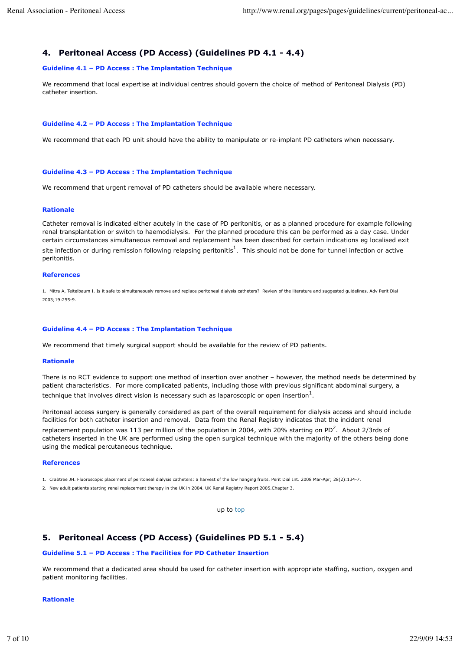## **4. Peritoneal Access (PD Access) (Guidelines PD 4.1 - 4.4)**

### **Guideline 4.1 – PD Access : The Implantation Technique**

We recommend that local expertise at individual centres should govern the choice of method of Peritoneal Dialysis (PD) catheter insertion.

### **Guideline 4.2 – PD Access : The Implantation Technique**

We recommend that each PD unit should have the ability to manipulate or re-implant PD catheters when necessary.

### **Guideline 4.3 – PD Access : The Implantation Technique**

We recommend that urgent removal of PD catheters should be available where necessary.

#### **Rationale**

Catheter removal is indicated either acutely in the case of PD peritonitis, or as a planned procedure for example following renal transplantation or switch to haemodialysis. For the planned procedure this can be performed as a day case. Under certain circumstances simultaneous removal and replacement has been described for certain indications eg localised exit site infection or during remission following relapsing peritonitis $^1$ . This should not be done for tunnel infection or active peritonitis.

#### **References**

1. Mitra A, Teitelbaum I. Is it safe to simultaneously remove and replace peritoneal dialysis catheters? Review of the literature and suggested guidelines. Adv Perit Dial 2003;19:255-9.

#### **Guideline 4.4 – PD Access : The Implantation Technique**

We recommend that timely surgical support should be available for the review of PD patients.

#### **Rationale**

There is no RCT evidence to support one method of insertion over another – however, the method needs be determined by patient characteristics. For more complicated patients, including those with previous significant abdominal surgery, a technique that involves direct vision is necessary such as laparoscopic or open insertion $^1$ .

Peritoneal access surgery is generally considered as part of the overall requirement for dialysis access and should include facilities for both catheter insertion and removal. Data from the Renal Registry indicates that the incident renal replacement population was 113 per million of the population in 2004, with 20% starting on PD<sup>2</sup>. About 2/3rds of catheters inserted in the UK are performed using the open surgical technique with the majority of the others being done using the medical percutaneous technique.

### **References**

1. Crabtree JH. Fluoroscopic placement of peritoneal dialysis catheters: a harvest of the low hanging fruits. Perit Dial Int. 2008 Mar-Apr; 28(2):134-7.

2. New adult patients starting renal replacement therapy in the UK in 2004. UK Renal Registry Report 2005.Chapter 3.

up to top

## **5. Peritoneal Access (PD Access) (Guidelines PD 5.1 - 5.4)**

#### **Guideline 5.1 – PD Access : The Facilities for PD Catheter Insertion**

We recommend that a dedicated area should be used for catheter insertion with appropriate staffing, suction, oxygen and patient monitoring facilities.

### **Rationale**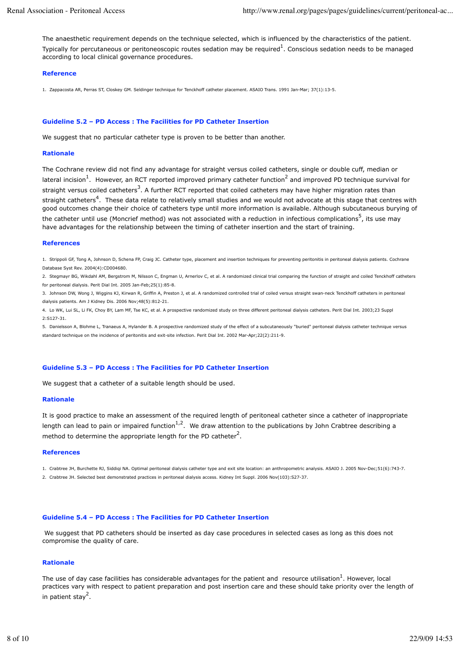The anaesthetic requirement depends on the technique selected, which is influenced by the characteristics of the patient. Typically for percutaneous or peritoneoscopic routes sedation may be required $^1$ . Conscious sedation needs to be managed according to local clinical governance procedures.

### **Reference**

1. Zappacosta AR, Perras ST, Closkey GM. Seldinger technique for Tenckhoff catheter placement. ASAIO Trans. 1991 Jan-Mar; 37(1):13-5.

#### **Guideline 5.2 – PD Access : The Facilities for PD Catheter Insertion**

We suggest that no particular catheter type is proven to be better than another.

### **Rationale**

The Cochrane review did not find any advantage for straight versus coiled catheters, single or double cuff, median or lateral incision<sup>1</sup>. However, an RCT reported improved primary catheter function<sup>2</sup> and improved PD technique survival for straight versus coiled catheters<sup>3</sup>. A further RCT reported that coiled catheters may have higher migration rates than straight catheters<sup>4</sup>. These data relate to relatively small studies and we would not advocate at this stage that centres with good outcomes change their choice of catheters type until more information is available. Although subcutaneous burying of the catheter until use (Moncrief method) was not associated with a reduction in infectious complications<sup>5</sup>, its use may have advantages for the relationship between the timing of catheter insertion and the start of training.

#### **References**

1. Strippoli GF, Tong A, Johnson D, Schena FP, Craig JC. Catheter type, placement and insertion techniques for preventing peritonitis in peritoneal dialysis patients. Cochrane Database Syst Rev. 2004(4):CD004680.

2. Stegmayr BG, Wikdahl AM, Bergstrom M, Nilsson C, Engman U, Arnerlov C, et al. A randomized clinical trial comparing the function of straight and coiled Tenckhoff catheters for peritoneal dialysis. Perit Dial Int. 2005 Jan-Feb;25(1):85-8.

3. Johnson DW, Wong J, Wiggins KJ, Kirwan R, Griffin A, Preston J, et al. A randomized controlled trial of coiled versus straight swan-neck Tenckhoff catheters in peritoneal dialysis patients. Am J Kidney Dis. 2006 Nov;48(5):812-21.

4. Lo WK, Lui SL, Li FK, Choy BY, Lam MF, Tse KC, et al. A prospective randomized study on three different peritoneal dialysis catheters. Perit Dial Int. 2003;23 Suppl 2:S127-31.

5. Danielsson A, Blohme L, Tranaeus A, Hylander B. A prospective randomized study of the effect of a subcutaneously "buried" peritoneal dialysis catheter technique versus standard technique on the incidence of peritonitis and exit-site infection. Perit Dial Int. 2002 Mar-Apr;22(2):211-9.

### **Guideline 5.3 – PD Access : The Facilities for PD Catheter Insertion**

We suggest that a catheter of a suitable length should be used.

#### **Rationale**

It is good practice to make an assessment of the required length of peritoneal catheter since a catheter of inappropriate length can lead to pain or impaired function<sup>1,2</sup>. We draw attention to the publications by John Crabtree describing a method to determine the appropriate length for the PD catheter<sup>2</sup>.

#### **References**

1. Crabtree JH, Burchette RJ, Siddiqi NA. Optimal peritoneal dialysis catheter type and exit site location: an anthropometric analysis. ASAIO J. 2005 Nov-Dec;51(6):743-7.

2. Crabtree JH. Selected best demonstrated practices in peritoneal dialysis access. Kidney Int Suppl. 2006 Nov(103):S27-37.

### **Guideline 5.4 – PD Access : The Facilities for PD Catheter Insertion**

 We suggest that PD catheters should be inserted as day case procedures in selected cases as long as this does not compromise the quality of care.

## **Rationale**

The use of day case facilities has considerable advantages for the patient and resource utilisation<sup>1</sup>. However, local practices vary with respect to patient preparation and post insertion care and these should take priority over the length of in patient stay<sup>2</sup>.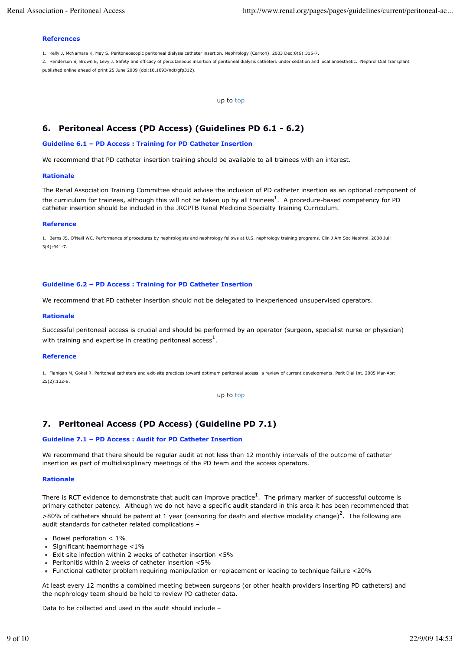### **References**

1. Kelly J, McNamara K, May S. Peritoneoscopic peritoneal dialysis catheter insertion. Nephrology (Carlton). 2003 Dec;8(6):315-7.

2. Henderson S, Brown E, Levy J. Safety and efficacy of percutaneous insertion of peritoneal dialysis catheters under sedation and local anaesthetic. Nephrol Dial Transplant published online ahead of print 25 June 2009 (doi:10.1093/ndt/gfp312).

up to top

## **6. Peritoneal Access (PD Access) (Guidelines PD 6.1 - 6.2)**

### **Guideline 6.1 – PD Access : Training for PD Catheter Insertion**

We recommend that PD catheter insertion training should be available to all trainees with an interest.

### **Rationale**

The Renal Association Training Committee should advise the inclusion of PD catheter insertion as an optional component of the curriculum for trainees, although this will not be taken up by all trainees<sup>1</sup>. A procedure-based competency for PD catheter insertion should be included in the JRCPTB Renal Medicine Specialty Training Curriculum.

#### **Reference**

1. Berns JS, O'Neill WC. Performance of procedures by nephrologists and nephrology fellows at U.S. nephrology training programs. Clin J Am Soc Nephrol. 2008 Jul;  $3(4) \cdot 941 - 7$ .

### **Guideline 6.2 – PD Access : Training for PD Catheter Insertion**

We recommend that PD catheter insertion should not be delegated to inexperienced unsupervised operators.

#### **Rationale**

Successful peritoneal access is crucial and should be performed by an operator (surgeon, specialist nurse or physician) with training and expertise in creating peritoneal access<sup>1</sup>.

#### **Reference**

1. Flanigan M, Gokal R. Peritoneal catheters and exit-site practices toward optimum peritoneal access: a review of current developments. Perit Dial Int. 2005 Mar-Apr; 25(2):132-9.

up to top

## **7. Peritoneal Access (PD Access) (Guideline PD 7.1)**

### **Guideline 7.1 – PD Access : Audit for PD Catheter Insertion**

We recommend that there should be regular audit at not less than 12 monthly intervals of the outcome of catheter insertion as part of multidisciplinary meetings of the PD team and the access operators.

### **Rationale**

There is RCT evidence to demonstrate that audit can improve practice $^1$ . The primary marker of successful outcome is primary catheter patency. Although we do not have a specific audit standard in this area it has been recommended that >80% of catheters should be patent at 1 year (censoring for death and elective modality change)<sup>2</sup>. The following are audit standards for catheter related complications –

- $\bullet$  Bowel perforation  $< 1\%$
- $\bullet$  Significant haemorrhage  $<$ 1%
- Exit site infection within 2 weeks of catheter insertion <5%
- Peritonitis within 2 weeks of catheter insertion <5%
- Functional catheter problem requiring manipulation or replacement or leading to technique failure <20%

At least every 12 months a combined meeting between surgeons (or other health providers inserting PD catheters) and the nephrology team should be held to review PD catheter data.

Data to be collected and used in the audit should include –